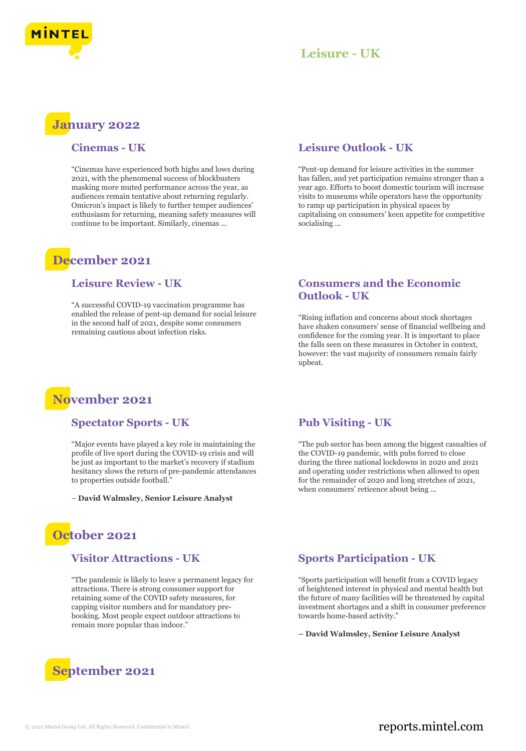

## **January 2022**

#### **Cinemas - UK**

"Cinemas have experienced both highs and lows during 2021, with the phenomenal success of blockbusters masking more muted performance across the year, as audiences remain tentative about returning regularly. Omicron's impact is likely to further temper audiences' enthusiasm for returning, meaning safety measures will continue to be important. Similarly, cinemas ...

### **December 2021**

### **Leisure Review - UK**

"A successful COVID-19 vaccination programme has enabled the release of pent-up demand for social leisure in the second half of 2021, despite some consumers remaining cautious about infection risks.

#### **Leisure Outlook - UK**

"Pent-up demand for leisure activities in the summer has fallen, and yet participation remains stronger than a year ago. Efforts to boost domestic tourism will increase visits to museums while operators have the opportunity to ramp up participation in physical spaces by capitalising on consumers' keen appetite for competitive socialising ...

### **Consumers and the Economic Outlook - UK**

"Rising inflation and concerns about stock shortages have shaken consumers' sense of financial wellbeing and confidence for the coming year. It is important to place the falls seen on these measures in October in context, however: the vast majority of consumers remain fairly upbeat.



#### **Spectator Sports - UK**

"Major events have played a key role in maintaining the profile of live sport during the COVID-19 crisis and will be just as important to the market's recovery if stadium hesitancy slows the return of pre-pandemic attendances to properties outside football.

– **David Walmsley, Senior Leisure Analyst**



#### **Visitor Attractions - UK**

"The pandemic is likely to leave a permanent legacy for attractions. There is strong consumer support for retaining some of the COVID safety measures, for capping visitor numbers and for mandatory prebooking. Most people expect outdoor attractions to remain more popular than indoor."



### **Pub Visiting - UK**

"The pub sector has been among the biggest casualties of the COVID-19 pandemic, with pubs forced to close during the three national lockdowns in 2020 and 2021 and operating under restrictions when allowed to open for the remainder of 2020 and long stretches of 2021, when consumers' reticence about being ...

### **Sports Participation - UK**

"Sports participation will benefit from a COVID legacy of heightened interest in physical and mental health but the future of many facilities will be threatened by capital investment shortages and a shift in consumer preference towards home-based activity."

**– David Walmsley, Senior Leisure Analyst**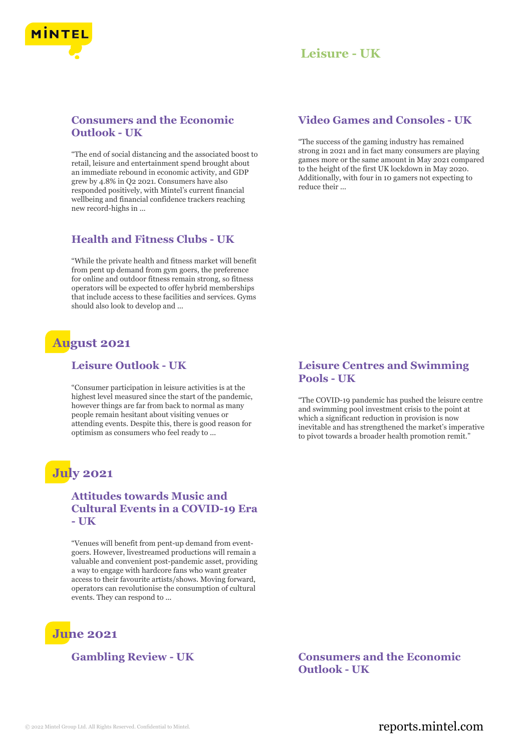

### **Consumers and the Economic Outlook - UK**

"The end of social distancing and the associated boost to retail, leisure and entertainment spend brought about an immediate rebound in economic activity, and GDP grew by 4.8% in Q2 2021. Consumers have also responded positively, with Mintel's current financial wellbeing and financial confidence trackers reaching new record-highs in ...

### **Health and Fitness Clubs - UK**

"While the private health and fitness market will benefit from pent up demand from gym goers, the preference for online and outdoor fitness remain strong, so fitness operators will be expected to offer hybrid memberships that include access to these facilities and services. Gyms should also look to develop and ...

# **August 2021**

### **Leisure Outlook - UK**

"Consumer participation in leisure activities is at the highest level measured since the start of the pandemic, however things are far from back to normal as many people remain hesitant about visiting venues or attending events. Despite this, there is good reason for optimism as consumers who feel ready to ...

# **July 2021**

### **Attitudes towards Music and Cultural Events in a COVID-19 Era - UK**

"Venues will benefit from pent-up demand from eventgoers. However, livestreamed productions will remain a valuable and convenient post-pandemic asset, providing a way to engage with hardcore fans who want greater access to their favourite artists/shows. Moving forward, operators can revolutionise the consumption of cultural events. They can respond to ...

# **June 2021**

### **Video Games and Consoles - UK**

"The success of the gaming industry has remained strong in 2021 and in fact many consumers are playing games more or the same amount in May 2021 compared to the height of the first UK lockdown in May 2020. Additionally, with four in 10 gamers not expecting to reduce their ...

### **Leisure Centres and Swimming Pools - UK**

"The COVID-19 pandemic has pushed the leisure centre and swimming pool investment crisis to the point at which a significant reduction in provision is now inevitable and has strengthened the market's imperative to pivot towards a broader health promotion remit."

### **Gambling Review - UK Consumers and the Economic Outlook - UK**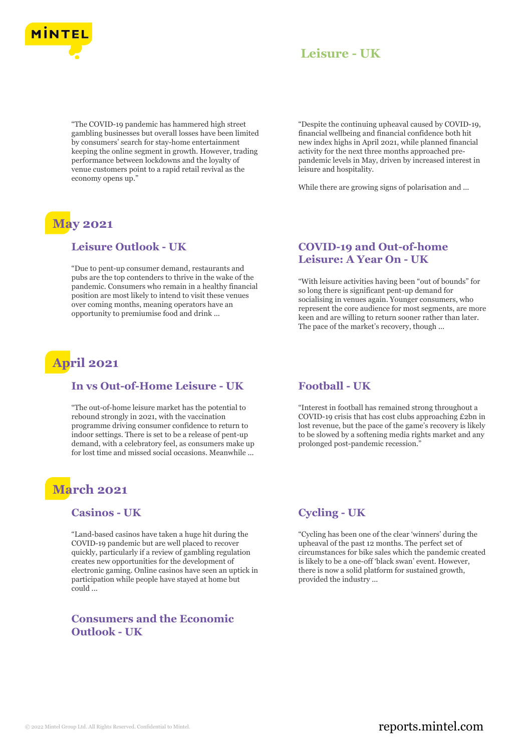

"The COVID-19 pandemic has hammered high street gambling businesses but overall losses have been limited by consumers' search for stay-home entertainment keeping the online segment in growth. However, trading performance between lockdowns and the loyalty of venue customers point to a rapid retail revival as the economy opens up."

# **May 2021**

#### **Leisure Outlook - UK**

"Due to pent-up consumer demand, restaurants and pubs are the top contenders to thrive in the wake of the pandemic. Consumers who remain in a healthy financial position are most likely to intend to visit these venues over coming months, meaning operators have an opportunity to premiumise food and drink ...

# **April 2021**

### **In vs Out-of-Home Leisure - UK**

"The out-of-home leisure market has the potential to rebound strongly in 2021, with the vaccination programme driving consumer confidence to return to indoor settings. There is set to be a release of pent-up demand, with a celebratory feel, as consumers make up for lost time and missed social occasions. Meanwhile ...

# **March 2021**

#### **Casinos - UK**

"Land-based casinos have taken a huge hit during the COVID-19 pandemic but are well placed to recover quickly, particularly if a review of gambling regulation creates new opportunities for the development of electronic gaming. Online casinos have seen an uptick in participation while people have stayed at home but could ...

### **Consumers and the Economic Outlook - UK**

"Despite the continuing upheaval caused by COVID-19, financial wellbeing and financial confidence both hit new index highs in April 2021, while planned financial activity for the next three months approached prepandemic levels in May, driven by increased interest in leisure and hospitality.

While there are growing signs of polarisation and ...

### **COVID-19 and Out-of-home Leisure: A Year On - UK**

"With leisure activities having been "out of bounds" for so long there is significant pent-up demand for socialising in venues again. Younger consumers, who represent the core audience for most segments, are more keen and are willing to return sooner rather than later. The pace of the market's recovery, though ...

### **Football - UK**

"Interest in football has remained strong throughout a COVID-19 crisis that has cost clubs approaching £2bn in lost revenue, but the pace of the game's recovery is likely to be slowed by a softening media rights market and any prolonged post-pandemic recession."

### **Cycling - UK**

"Cycling has been one of the clear 'winners' during the upheaval of the past 12 months. The perfect set of circumstances for bike sales which the pandemic created is likely to be a one-off 'black swan' event. However, there is now a solid platform for sustained growth, provided the industry ...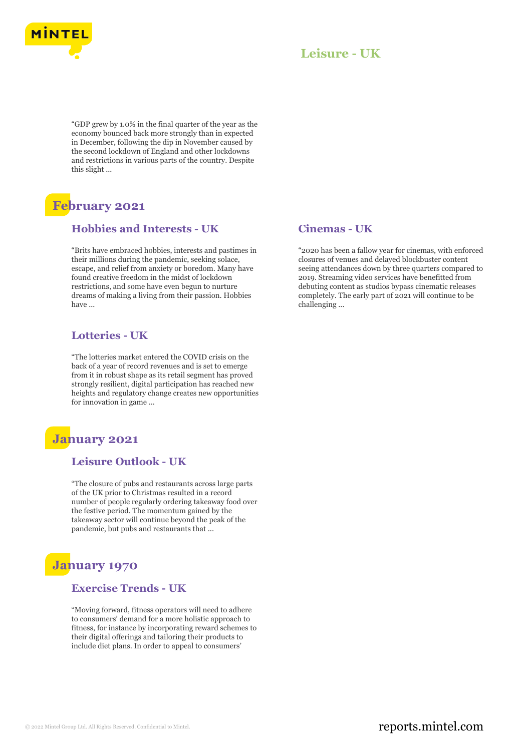

"GDP grew by 1.0% in the final quarter of the year as the economy bounced back more strongly than in expected in December, following the dip in November caused by the second lockdown of England and other lockdowns and restrictions in various parts of the country. Despite this slight ...

# **February 2021**

### **Hobbies and Interests - UK**

"Brits have embraced hobbies, interests and pastimes in their millions during the pandemic, seeking solace, escape, and relief from anxiety or boredom. Many have found creative freedom in the midst of lockdown restrictions, and some have even begun to nurture dreams of making a living from their passion. Hobbies have ...

### **Lotteries - UK**

"The lotteries market entered the COVID crisis on the back of a year of record revenues and is set to emerge from it in robust shape as its retail segment has proved strongly resilient, digital participation has reached new heights and regulatory change creates new opportunities for innovation in game ...

### **January 2021**

### **Leisure Outlook - UK**

"The closure of pubs and restaurants across large parts of the UK prior to Christmas resulted in a record number of people regularly ordering takeaway food over the festive period. The momentum gained by the takeaway sector will continue beyond the peak of the pandemic, but pubs and restaurants that ...

# **January 1970**

### **Exercise Trends - UK**

"Moving forward, fitness operators will need to adhere to consumers' demand for a more holistic approach to fitness, for instance by incorporating reward schemes to their digital offerings and tailoring their products to include diet plans. In order to appeal to consumers'

### **Cinemas - UK**

"2020 has been a fallow year for cinemas, with enforced closures of venues and delayed blockbuster content seeing attendances down by three quarters compared to 2019. Streaming video services have benefitted from debuting content as studios bypass cinematic releases completely. The early part of 2021 will continue to be challenging ...